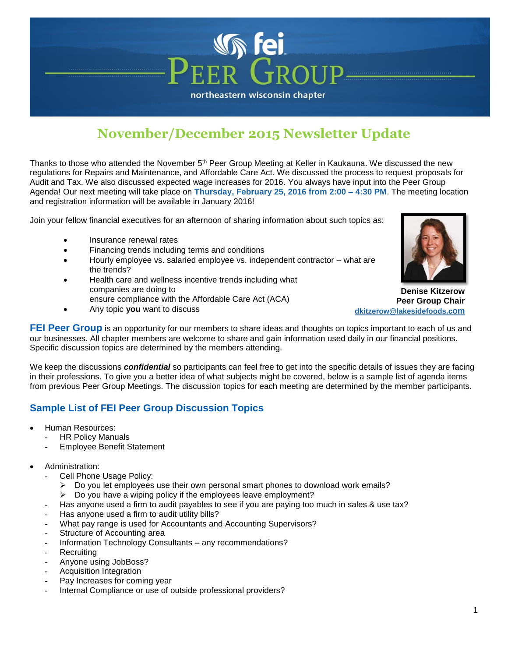## **November/December 2015 Newsletter Update**

northeastern wisconsin chapter

**Sier** 

Thanks to those who attended the November 5<sup>th</sup> Peer Group Meeting at Keller in Kaukauna. We discussed the new regulations for Repairs and Maintenance, and Affordable Care Act. We discussed the process to request proposals for Audit and Tax. We also discussed expected wage increases for 2016. You always have input into the Peer Group Agenda! Our next meeting will take place on **Thursday, February 25, 2016 from 2:00 – 4:30 PM**. The meeting location and registration information will be available in January 2016!

Join your fellow financial executives for an afternoon of sharing information about such topics as:

- Insurance renewal rates
- Financing trends including terms and conditions
- Hourly employee vs. salaried employee vs. independent contractor what are the trends?
- Health care and wellness incentive trends including what companies are doing to ensure compliance with the Affordable Care Act (ACA)
- Any topic **you** want to discuss



**Denise Kitzerow Peer Group Chair [dkitzerow@lakesidefoods.c](mailto:dkitzerow@lakesidefoods.com)om**

**FEI Peer Group** is an opportunity for our members to share ideas and thoughts on topics important to each of us and our businesses. All chapter members are welcome to share and gain information used daily in our financial positions. Specific discussion topics are determined by the members attending.

We keep the discussions *confidential* so participants can feel free to get into the specific details of issues they are facing in their professions. To give you a better idea of what subjects might be covered, below is a sample list of agenda items from previous Peer Group Meetings. The discussion topics for each meeting are determined by the member participants.

## **Sample List of FEI Peer Group Discussion Topics**

- Human Resources:
	- **HR Policy Manuals**
	- Employee Benefit Statement
- Administration:
	- Cell Phone Usage Policy:
		- $\triangleright$  Do you let employees use their own personal smart phones to download work emails?
		- $\triangleright$  Do you have a wiping policy if the employees leave employment?
	- Has anyone used a firm to audit payables to see if you are paying too much in sales & use tax?
	- Has anyone used a firm to audit utility bills?
	- What pay range is used for Accountants and Accounting Supervisors?
	- Structure of Accounting area
	- Information Technology Consultants any recommendations?
	- **Recruiting**
	- Anyone using JobBoss?
	- Acquisition Integration
	- Pay Increases for coming year
	- Internal Compliance or use of outside professional providers?